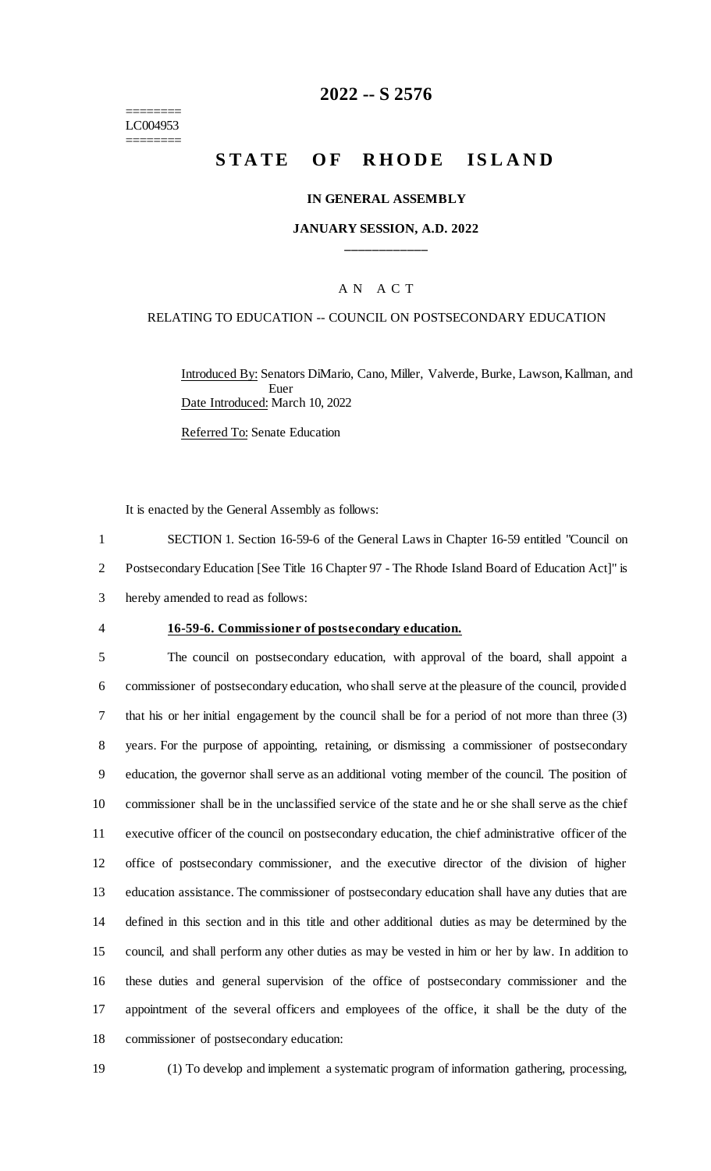======== LC004953 ========

### **2022 -- S 2576**

# **STATE OF RHODE ISLAND**

#### **IN GENERAL ASSEMBLY**

#### **JANUARY SESSION, A.D. 2022 \_\_\_\_\_\_\_\_\_\_\_\_**

#### A N A C T

#### RELATING TO EDUCATION -- COUNCIL ON POSTSECONDARY EDUCATION

Introduced By: Senators DiMario, Cano, Miller, Valverde, Burke, Lawson, Kallman, and Euer Date Introduced: March 10, 2022

Referred To: Senate Education

It is enacted by the General Assembly as follows:

1 SECTION 1. Section 16-59-6 of the General Laws in Chapter 16-59 entitled "Council on 2 Postsecondary Education [See Title 16 Chapter 97 - The Rhode Island Board of Education Act]" is 3 hereby amended to read as follows:

#### 4 **16-59-6. Commissioner of postsecondary education.**

 The council on postsecondary education, with approval of the board, shall appoint a commissioner of postsecondary education, who shall serve at the pleasure of the council, provided that his or her initial engagement by the council shall be for a period of not more than three (3) years. For the purpose of appointing, retaining, or dismissing a commissioner of postsecondary education, the governor shall serve as an additional voting member of the council. The position of commissioner shall be in the unclassified service of the state and he or she shall serve as the chief executive officer of the council on postsecondary education, the chief administrative officer of the office of postsecondary commissioner, and the executive director of the division of higher education assistance. The commissioner of postsecondary education shall have any duties that are defined in this section and in this title and other additional duties as may be determined by the council, and shall perform any other duties as may be vested in him or her by law. In addition to these duties and general supervision of the office of postsecondary commissioner and the appointment of the several officers and employees of the office, it shall be the duty of the commissioner of postsecondary education:

- 
- 19 (1) To develop and implement a systematic program of information gathering, processing,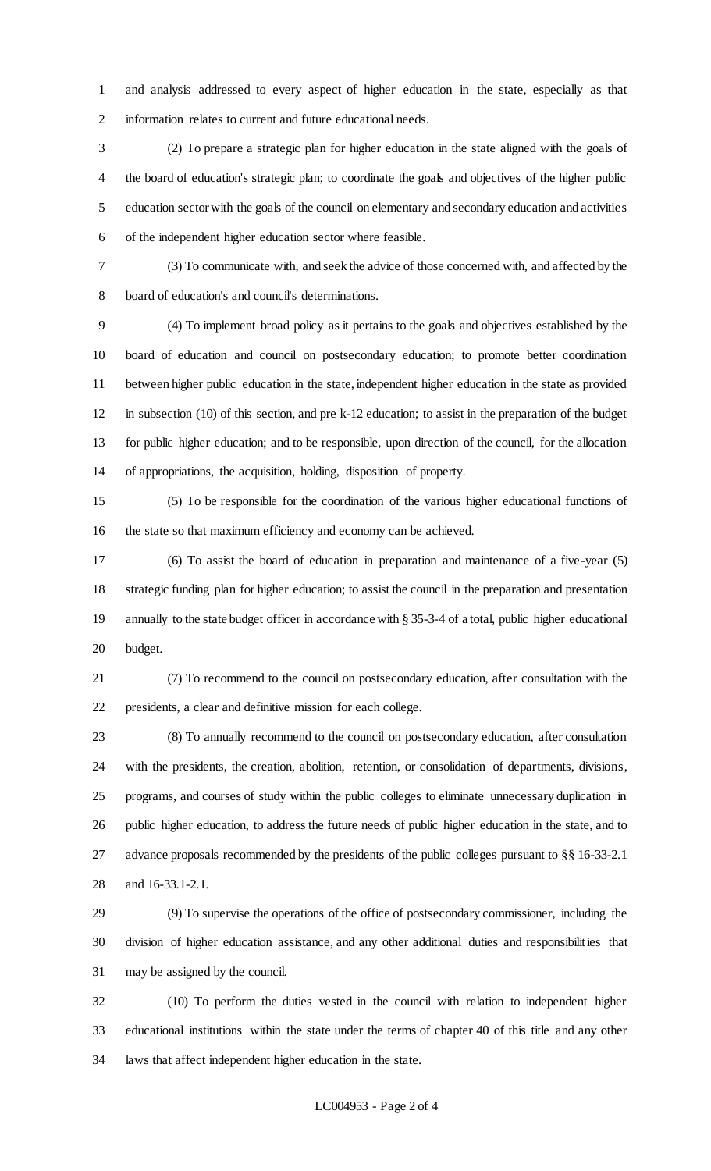and analysis addressed to every aspect of higher education in the state, especially as that information relates to current and future educational needs.

 (2) To prepare a strategic plan for higher education in the state aligned with the goals of the board of education's strategic plan; to coordinate the goals and objectives of the higher public education sector with the goals of the council on elementary and secondary education and activities of the independent higher education sector where feasible.

 (3) To communicate with, and seek the advice of those concerned with, and affected by the board of education's and council's determinations.

 (4) To implement broad policy as it pertains to the goals and objectives established by the board of education and council on postsecondary education; to promote better coordination between higher public education in the state, independent higher education in the state as provided in subsection (10) of this section, and pre k-12 education; to assist in the preparation of the budget for public higher education; and to be responsible, upon direction of the council, for the allocation of appropriations, the acquisition, holding, disposition of property.

 (5) To be responsible for the coordination of the various higher educational functions of the state so that maximum efficiency and economy can be achieved.

 (6) To assist the board of education in preparation and maintenance of a five-year (5) strategic funding plan for higher education; to assist the council in the preparation and presentation annually to the state budget officer in accordance with § 35-3-4 of a total, public higher educational budget.

 (7) To recommend to the council on postsecondary education, after consultation with the presidents, a clear and definitive mission for each college.

 (8) To annually recommend to the council on postsecondary education, after consultation with the presidents, the creation, abolition, retention, or consolidation of departments, divisions, programs, and courses of study within the public colleges to eliminate unnecessary duplication in public higher education, to address the future needs of public higher education in the state, and to advance proposals recommended by the presidents of the public colleges pursuant to §§ 16-33-2.1 and 16-33.1-2.1.

 (9) To supervise the operations of the office of postsecondary commissioner, including the division of higher education assistance, and any other additional duties and responsibilities that may be assigned by the council.

 (10) To perform the duties vested in the council with relation to independent higher educational institutions within the state under the terms of chapter 40 of this title and any other laws that affect independent higher education in the state.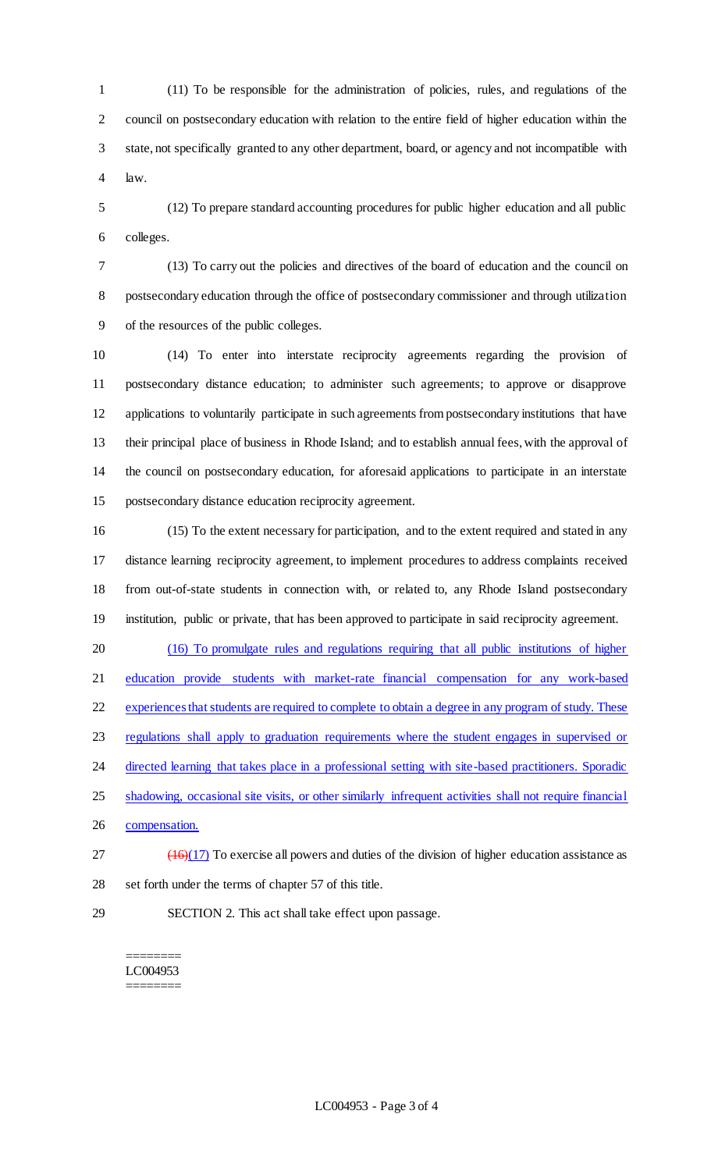(11) To be responsible for the administration of policies, rules, and regulations of the council on postsecondary education with relation to the entire field of higher education within the state, not specifically granted to any other department, board, or agency and not incompatible with law.

 (12) To prepare standard accounting procedures for public higher education and all public colleges.

 (13) To carry out the policies and directives of the board of education and the council on postsecondary education through the office of postsecondary commissioner and through utilization of the resources of the public colleges.

 (14) To enter into interstate reciprocity agreements regarding the provision of postsecondary distance education; to administer such agreements; to approve or disapprove applications to voluntarily participate in such agreements from postsecondary institutions that have their principal place of business in Rhode Island; and to establish annual fees, with the approval of the council on postsecondary education, for aforesaid applications to participate in an interstate postsecondary distance education reciprocity agreement.

 (15) To the extent necessary for participation, and to the extent required and stated in any distance learning reciprocity agreement, to implement procedures to address complaints received from out-of-state students in connection with, or related to, any Rhode Island postsecondary institution, public or private, that has been approved to participate in said reciprocity agreement.

 (16) To promulgate rules and regulations requiring that all public institutions of higher education provide students with market-rate financial compensation for any work-based experiences that students are required to complete to obtain a degree in any program of study. These regulations shall apply to graduation requirements where the student engages in supervised or 24 directed learning that takes place in a professional setting with site-based practitioners. Sporadic 25 shadowing, occasional site visits, or other similarly infrequent activities shall not require financial compensation.

- $27 \left(16\right)(17)$  To exercise all powers and duties of the division of higher education assistance as set forth under the terms of chapter 57 of this title.
- 

SECTION 2. This act shall take effect upon passage.

======== LC004953 ========